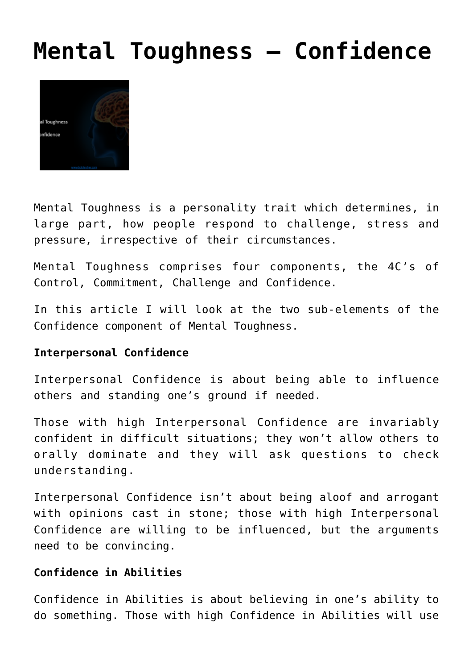## **[Mental Toughness – Confidence](http://boblarcher.com/mental-toughness/mental-toughness-confidence/)**



Mental Toughness is a personality trait which determines, in large part, how people respond to challenge, stress and pressure, irrespective of their circumstances.

Mental Toughness comprises four components, the 4C's of Control, Commitment, Challenge and Confidence.

In this article I will look at the two sub-elements of the Confidence component of Mental Toughness.

## **Interpersonal Confidence**

Interpersonal Confidence is about being able to influence others and standing one's ground if needed.

Those with high Interpersonal Confidence are invariably confident in difficult situations; they won't allow others to orally dominate and they will ask questions to check understanding.

Interpersonal Confidence isn't about being aloof and arrogant with opinions cast in stone; those with high Interpersonal Confidence are willing to be influenced, but the arguments need to be convincing.

## **Confidence in Abilities**

Confidence in Abilities is about believing in one's ability to do something. Those with high Confidence in Abilities will use